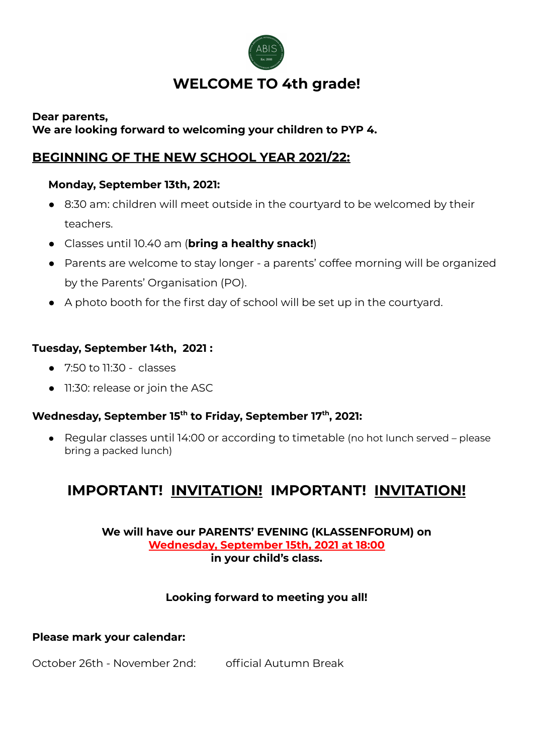

# **WELCOME TO 4th grade!**

## **Dear parents, We are looking forward to welcoming your children to PYP 4.**

# **BEGINNING OF THE NEW SCHOOL YEAR 2021/22:**

# **Monday, September 13th, 2021:**

- 8:30 am: children will meet outside in the courtyard to be welcomed by their teachers.
- Classes until 10.40 am (**bring a healthy snack!**)
- Parents are welcome to stay longer a parents' coffee morning will be organized by the Parents' Organisation (PO).
- A photo booth for the first day of school will be set up in the courtyard.

# **Tuesday, September 14th, 2021 :**

- 7:50 to 11:30 classes
- 11:30: release or join the ASC

# **Wednesday, September 15 th to Friday, September 17 th , 2021:**

● Regular classes until 14:00 or according to timetable (no hot lunch served – please bring a packed lunch)

# **IMPORTANT! INVITATION! IMPORTANT! INVITATION!**

### **We will have our PARENTS' EVENING (KLASSENFORUM) on Wednesday, September 15th, 2021 at 18:00 in your child's class.**

# **Looking forward to meeting you all!**

# **Please mark your calendar:**

October 26th - November 2nd: official Autumn Break